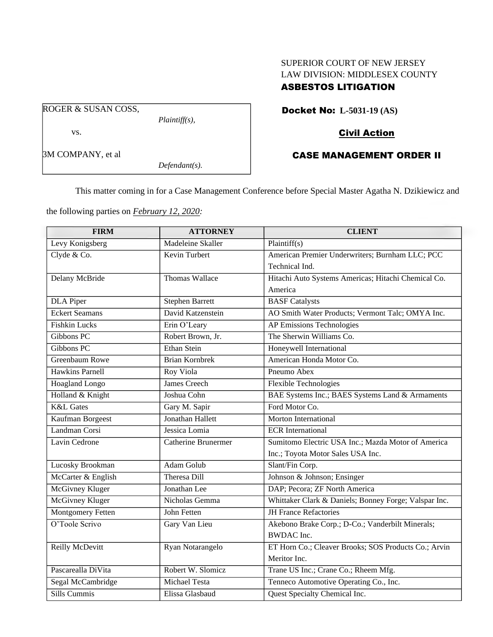## SUPERIOR COURT OF NEW JERSEY LAW DIVISION: MIDDLESEX COUNTY ASBESTOS LITIGATION

ROGER & SUSAN COSS,

vs.

3M COMPANY, et al

*Plaintiff(s),*

*Defendant(s).*

Docket No: **L-5031-19 (AS)**

# Civil Action

# CASE MANAGEMENT ORDER II

This matter coming in for a Case Management Conference before Special Master Agatha N. Dzikiewicz and

the following parties on *February 12, 2020:*

| <b>FIRM</b>              | <b>ATTORNEY</b>            | <b>CLIENT</b>                                         |
|--------------------------|----------------------------|-------------------------------------------------------|
| Levy Konigsberg          | <b>Madeleine Skaller</b>   | Plaintiff(s)                                          |
| Clyde & Co.              | Kevin Turbert              | American Premier Underwriters; Burnham LLC; PCC       |
|                          |                            | Technical Ind.                                        |
| Delany McBride           | Thomas Wallace             | Hitachi Auto Systems Americas; Hitachi Chemical Co.   |
|                          |                            | America                                               |
| <b>DLA</b> Piper         | <b>Stephen Barrett</b>     | <b>BASF</b> Catalysts                                 |
| <b>Eckert Seamans</b>    | David Katzenstein          | AO Smith Water Products; Vermont Talc; OMYA Inc.      |
| <b>Fishkin Lucks</b>     | Erin O'Leary               | <b>AP Emissions Technologies</b>                      |
| Gibbons PC               | Robert Brown, Jr.          | The Sherwin Williams Co.                              |
| Gibbons PC               | Ethan Stein                | Honeywell International                               |
| <b>Greenbaum Rowe</b>    | <b>Brian Kornbrek</b>      | American Honda Motor Co.                              |
| <b>Hawkins Parnell</b>   | Roy Viola                  | Pneumo Abex                                           |
| <b>Hoagland Longo</b>    | <b>James Creech</b>        | <b>Flexible Technologies</b>                          |
| Holland & Knight         | Joshua Cohn                | BAE Systems Inc.; BAES Systems Land & Armaments       |
| <b>K&amp;L</b> Gates     | Gary M. Sapir              | Ford Motor Co.                                        |
| Kaufman Borgeest         | Jonathan Hallett           | <b>Morton International</b>                           |
| Landman Corsi            | Jessica Lomia              | <b>ECR</b> International                              |
| Lavin Cedrone            | <b>Catherine Brunermer</b> | Sumitomo Electric USA Inc.; Mazda Motor of America    |
|                          |                            | Inc.; Toyota Motor Sales USA Inc.                     |
| Lucosky Brookman         | Adam Golub                 | Slant/Fin Corp.                                       |
| McCarter & English       | Theresa Dill               | Johnson & Johnson; Ensinger                           |
| <b>McGivney Kluger</b>   | Jonathan Lee               | DAP; Pecora; ZF North America                         |
| <b>McGivney Kluger</b>   | Nicholas Gemma             | Whittaker Clark & Daniels; Bonney Forge; Valspar Inc. |
| <b>Montgomery Fetten</b> | John Fetten                | <b>JH France Refactories</b>                          |
| O'Toole Scrivo           | Gary Van Lieu              | Akebono Brake Corp.; D-Co.; Vanderbilt Minerals;      |
|                          |                            | <b>BWDAC</b> Inc.                                     |
| Reilly McDevitt          | Ryan Notarangelo           | ET Horn Co.; Cleaver Brooks; SOS Products Co.; Arvin  |
|                          |                            | Meritor Inc.                                          |
| Pascarealla DiVita       | Robert W. Slomicz          | Trane US Inc.; Crane Co.; Rheem Mfg.                  |
| Segal McCambridge        | Michael Testa              | Tenneco Automotive Operating Co., Inc.                |
| Sills Cummis             | Elissa Glasbaud            | Quest Specialty Chemical Inc.                         |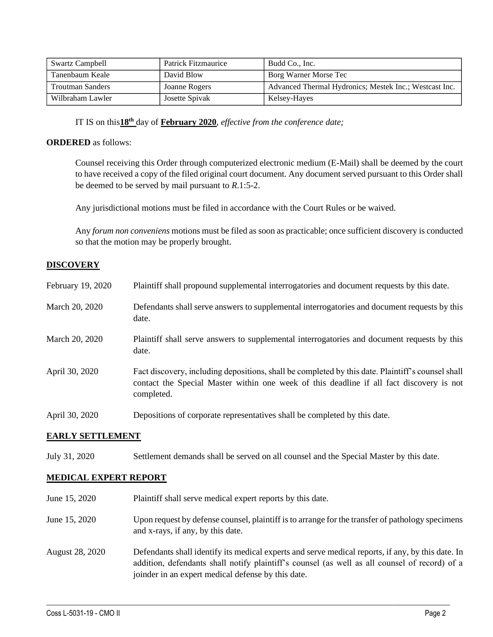| <b>Swartz Campbell</b>  | Patrick Fitzmaurice | Budd Co., Inc.                                         |
|-------------------------|---------------------|--------------------------------------------------------|
| Tanenbaum Keale         | David Blow          | Borg Warner Morse Tec                                  |
| <b>Troutman Sanders</b> | Joanne Rogers       | Advanced Thermal Hydronics; Mestek Inc.; Westcast Inc. |
| Wilbraham Lawler        | Josette Spivak      | Kelsey-Hayes                                           |

IT IS on this**18th** day of **February 2020**, *effective from the conference date;*

#### **ORDERED** as follows:

Counsel receiving this Order through computerized electronic medium (E-Mail) shall be deemed by the court to have received a copy of the filed original court document. Any document served pursuant to this Order shall be deemed to be served by mail pursuant to *R*.1:5-2.

Any jurisdictional motions must be filed in accordance with the Court Rules or be waived.

Any *forum non conveniens* motions must be filed as soon as practicable; once sufficient discovery is conducted so that the motion may be properly brought.

### **DISCOVERY**

| February 19, 2020 | Plaintiff shall propound supplemental interrogatories and document requests by this date.                                                                                                                   |
|-------------------|-------------------------------------------------------------------------------------------------------------------------------------------------------------------------------------------------------------|
| March 20, 2020    | Defendants shall serve answers to supplemental interrogatories and document requests by this<br>date.                                                                                                       |
| March 20, 2020    | Plaintiff shall serve answers to supplemental interrogatories and document requests by this<br>date.                                                                                                        |
| April 30, 2020    | Fact discovery, including depositions, shall be completed by this date. Plaintiff's counsel shall<br>contact the Special Master within one week of this deadline if all fact discovery is not<br>completed. |
| April 30, 2020    | Depositions of corporate representatives shall be completed by this date.                                                                                                                                   |

#### **EARLY SETTLEMENT**

July 31, 2020 Settlement demands shall be served on all counsel and the Special Master by this date.

#### **MEDICAL EXPERT REPORT**

June 15, 2020 Plaintiff shall serve medical expert reports by this date. June 15, 2020 Upon request by defense counsel, plaintiff is to arrange for the transfer of pathology specimens and x-rays, if any, by this date.

August 28, 2020 Defendants shall identify its medical experts and serve medical reports, if any, by this date. In addition, defendants shall notify plaintiff's counsel (as well as all counsel of record) of a joinder in an expert medical defense by this date.

 $\_$  , and the set of the set of the set of the set of the set of the set of the set of the set of the set of the set of the set of the set of the set of the set of the set of the set of the set of the set of the set of th